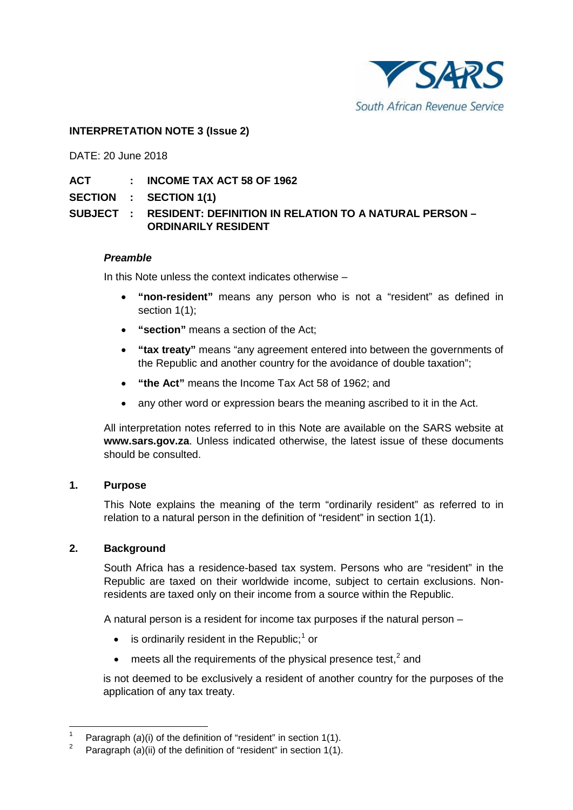

# **INTERPRETATION NOTE 3 (Issue 2)**

DATE: 20 June 2018

- **ACT : INCOME TAX ACT 58 OF 1962**
- **SECTION : SECTION 1(1)**

# **SUBJECT : RESIDENT: DEFINITION IN RELATION TO A NATURAL PERSON – ORDINARILY RESIDENT**

### *Preamble*

In this Note unless the context indicates otherwise –

- **"non-resident"** means any person who is not a "resident" as defined in section 1(1);
- **"section"** means a section of the Act;
- **"tax treaty"** means "any agreement entered into between the governments of the Republic and another country for the avoidance of double taxation";
- **"the Act"** means the Income Tax Act 58 of 1962; and
- any other word or expression bears the meaning ascribed to it in the Act.

All interpretation notes referred to in this Note are available on the SARS website at **[www.sars.gov.za](http://www.sars.gov.za/)**. Unless indicated otherwise, the latest issue of these documents should be consulted.

### **1. Purpose**

This Note explains the meaning of the term "ordinarily resident" as referred to in relation to a natural person in the definition of "resident" in section 1(1).

### **2. Background**

South Africa has a residence-based tax system. Persons who are "resident" in the Republic are taxed on their worldwide income, subject to certain exclusions. Nonresidents are taxed only on their income from a source within the Republic.

A natural person is a resident for income tax purposes if the natural person –

- $\bullet$  is ordinarily resident in the Republic;<sup>[1](#page-0-0)</sup> or
- $\bullet$  meets all the requirements of the physical presence test,<sup>[2](#page-0-1)</sup> and

is not deemed to be exclusively a resident of another country for the purposes of the application of any tax treaty.

<span id="page-0-1"></span><span id="page-0-0"></span><sup>&</sup>lt;sup>1</sup> Paragraph (*a*)(i) of the definition of "resident" in section 1(1).

Paragraph (*a*)(ii) of the definition of "resident" in section 1(1).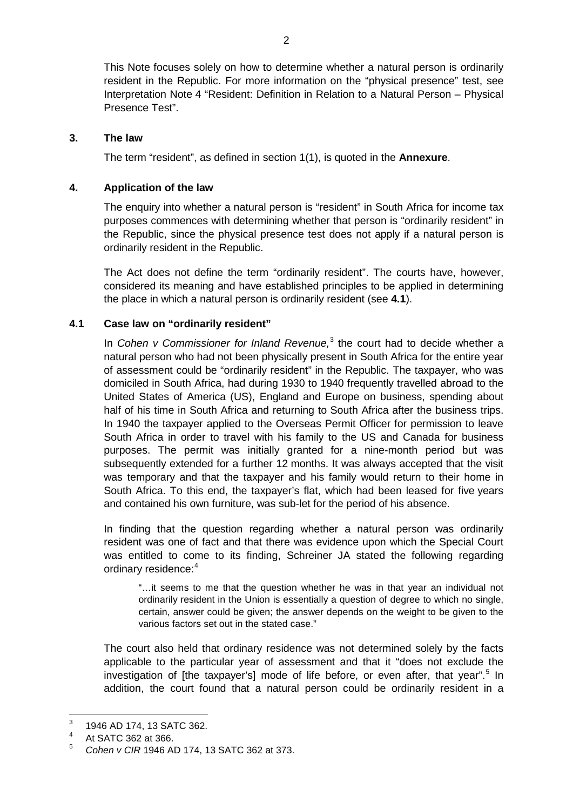This Note focuses solely on how to determine whether a natural person is ordinarily resident in the Republic. For more information on the "physical presence" test, see Interpretation Note 4 "Resident: Definition in Relation to a Natural Person – Physical Presence Test".

### **3. The law**

The term "resident", as defined in section 1(1), is quoted in the **[Annexure](#page-9-0)**.

## **4. Application of the law**

The enquiry into whether a natural person is "resident" in South Africa for income tax purposes commences with determining whether that person is "ordinarily resident" in the Republic, since the physical presence test does not apply if a natural person is ordinarily resident in the Republic.

The Act does not define the term "ordinarily resident". The courts have, however, considered its meaning and have established principles to be applied in determining the place in which a natural person is ordinarily resident (see **[4.1](#page-1-0)**).

# <span id="page-1-0"></span>**4.1 Case law on "ordinarily resident"**

In *Cohen v Commissioner for Inland Revenue,* [3](#page-1-1) the court had to decide whether a natural person who had not been physically present in South Africa for the entire year of assessment could be "ordinarily resident" in the Republic. The taxpayer, who was domiciled in South Africa, had during 1930 to 1940 frequently travelled abroad to the United States of America (US), England and Europe on business, spending about half of his time in South Africa and returning to South Africa after the business trips. In 1940 the taxpayer applied to the Overseas Permit Officer for permission to leave South Africa in order to travel with his family to the US and Canada for business purposes. The permit was initially granted for a nine-month period but was subsequently extended for a further 12 months. It was always accepted that the visit was temporary and that the taxpayer and his family would return to their home in South Africa. To this end, the taxpayer's flat, which had been leased for five years and contained his own furniture, was sub-let for the period of his absence.

In finding that the question regarding whether a natural person was ordinarily resident was one of fact and that there was evidence upon which the Special Court was entitled to come to its finding, Schreiner JA stated the following regarding ordinary residence:<sup>[4](#page-1-2)</sup>

"…it seems to me that the question whether he was in that year an individual not ordinarily resident in the Union is essentially a question of degree to which no single, certain, answer could be given; the answer depends on the weight to be given to the various factors set out in the stated case."

The court also held that ordinary residence was not determined solely by the facts applicable to the particular year of assessment and that it "does not exclude the investigation of [the taxpayer's] mode of life before, or even after, that year".<sup>[5](#page-1-3)</sup> In addition, the court found that a natural person could be ordinarily resident in a

<span id="page-1-1"></span> $^{3}$  1946 AD 174, 13 SATC 362.

<span id="page-1-2"></span><sup>&</sup>lt;sup>4</sup> At SATC 362 at 366.

<span id="page-1-3"></span><sup>5</sup> *Cohen v CIR* 1946 AD 174, 13 SATC 362 at 373.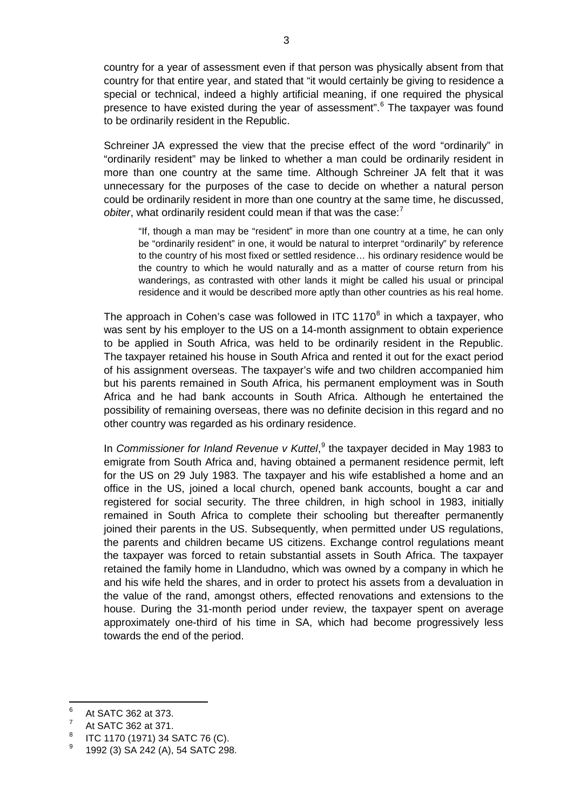country for a year of assessment even if that person was physically absent from that country for that entire year, and stated that "it would certainly be giving to residence a special or technical, indeed a highly artificial meaning, if one required the physical presence to have existed during the year of assessment".<sup>[6](#page-2-0)</sup> The taxpayer was found to be ordinarily resident in the Republic.

Schreiner JA expressed the view that the precise effect of the word "ordinarily" in "ordinarily resident" may be linked to whether a man could be ordinarily resident in more than one country at the same time. Although Schreiner JA felt that it was unnecessary for the purposes of the case to decide on whether a natural person could be ordinarily resident in more than one country at the same time, he discussed, obiter, what ordinarily resident could mean if that was the case:<sup>[7](#page-2-1)</sup>

"If, though a man may be "resident" in more than one country at a time, he can only be "ordinarily resident" in one, it would be natural to interpret "ordinarily" by reference to the country of his most fixed or settled residence… his ordinary residence would be the country to which he would naturally and as a matter of course return from his wanderings, as contrasted with other lands it might be called his usual or principal residence and it would be described more aptly than other countries as his real home.

The approach in Cohen's case was followed in ITC 1170 $\textdegree$  in which a taxpayer, who was sent by his employer to the US on a 14-month assignment to obtain experience to be applied in South Africa, was held to be ordinarily resident in the Republic. The taxpayer retained his house in South Africa and rented it out for the exact period of his assignment overseas. The taxpayer's wife and two children accompanied him but his parents remained in South Africa, his permanent employment was in South Africa and he had bank accounts in South Africa. Although he entertained the possibility of remaining overseas, there was no definite decision in this regard and no other country was regarded as his ordinary residence.

In *Commissioner for Inland Revenue v Kuttel*, [9](#page-2-3) the taxpayer decided in May 1983 to emigrate from South Africa and, having obtained a permanent residence permit, left for the US on 29 July 1983. The taxpayer and his wife established a home and an office in the US, joined a local church, opened bank accounts, bought a car and registered for social security. The three children, in high school in 1983, initially remained in South Africa to complete their schooling but thereafter permanently joined their parents in the US. Subsequently, when permitted under US regulations, the parents and children became US citizens. Exchange control regulations meant the taxpayer was forced to retain substantial assets in South Africa. The taxpayer retained the family home in Llandudno, which was owned by a company in which he and his wife held the shares, and in order to protect his assets from a devaluation in the value of the rand, amongst others, effected renovations and extensions to the house. During the 31-month period under review, the taxpayer spent on average approximately one-third of his time in SA, which had become progressively less towards the end of the period.

<span id="page-2-0"></span> $^{6}$  At SATC 362 at 373.

<span id="page-2-1"></span>At SATC 362 at 371.

<span id="page-2-3"></span><span id="page-2-2"></span> $\frac{8}{3}$  ITC 1170 (1971) 34 SATC 76 (C).

<sup>9</sup> 1992 (3) SA 242 (A), 54 SATC 298.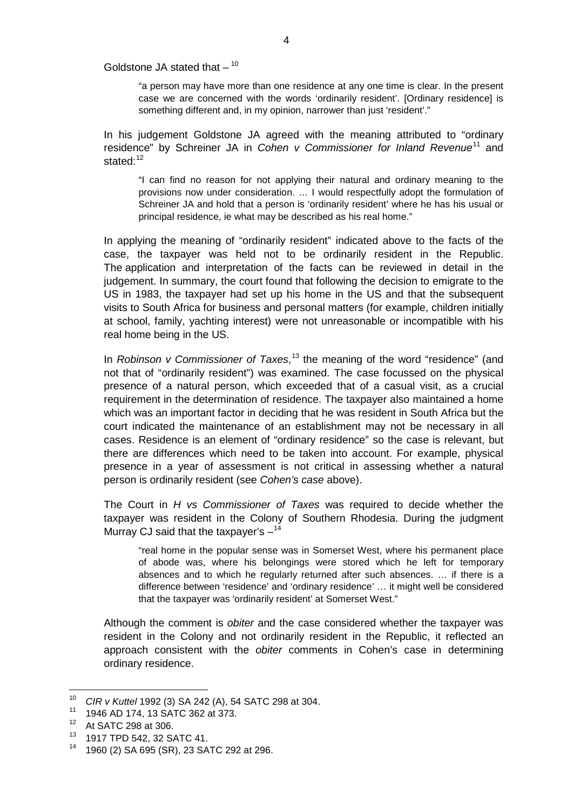#### Goldstone JA stated that  $-$  <sup>[10](#page-3-0)</sup>

"a person may have more than one residence at any one time is clear. In the present case we are concerned with the words 'ordinarily resident'. [Ordinary residence] is something different and, in my opinion, narrower than just 'resident'."

In his judgement Goldstone JA agreed with the meaning attributed to "ordinary residence" by Schreiner JA in *Cohen v Commissioner for Inland Revenue*[11](#page-3-1) and stated $^{12}$  $^{12}$  $^{12}$ 

"I can find no reason for not applying their natural and ordinary meaning to the provisions now under consideration. … I would respectfully adopt the formulation of Schreiner JA and hold that a person is 'ordinarily resident' where he has his usual or principal residence, ie what may be described as his real home."

In applying the meaning of "ordinarily resident" indicated above to the facts of the case, the taxpayer was held not to be ordinarily resident in the Republic. The application and interpretation of the facts can be reviewed in detail in the judgement. In summary, the court found that following the decision to emigrate to the US in 1983, the taxpayer had set up his home in the US and that the subsequent visits to South Africa for business and personal matters (for example, children initially at school, family, yachting interest) were not unreasonable or incompatible with his real home being in the US.

In *Robinson v Commissioner of Taxes*, [13](#page-3-3) the meaning of the word "residence" (and not that of "ordinarily resident") was examined. The case focussed on the physical presence of a natural person, which exceeded that of a casual visit, as a crucial requirement in the determination of residence. The taxpayer also maintained a home which was an important factor in deciding that he was resident in South Africa but the court indicated the maintenance of an establishment may not be necessary in all cases. Residence is an element of "ordinary residence" so the case is relevant, but there are differences which need to be taken into account. For example, physical presence in a year of assessment is not critical in assessing whether a natural person is ordinarily resident (see *Cohen's case* above).

The Court in *H vs Commissioner of Taxes* was required to decide whether the taxpayer was resident in the Colony of Southern Rhodesia. During the judgment Murray CJ said that the taxpayer's  $-14$  $-14$ 

"real home in the popular sense was in Somerset West, where his permanent place of abode was, where his belongings were stored which he left for temporary absences and to which he regularly returned after such absences. … if there is a difference between 'residence' and 'ordinary residence' … it might well be considered that the taxpayer was 'ordinarily resident' at Somerset West."

Although the comment is *obiter* and the case considered whether the taxpayer was resident in the Colony and not ordinarily resident in the Republic, it reflected an approach consistent with the *obiter* comments in Cohen's case in determining ordinary residence.

<span id="page-3-0"></span> <sup>10</sup> *CIR v Kuttel* 1992 (3) SA 242 (A), 54 SATC 298 at 304.

<span id="page-3-1"></span><sup>&</sup>lt;sup>11</sup> 1946 AD 174, 13 SATC 362 at 373.

<span id="page-3-2"></span> $^{12}$  At SATC 298 at 306.<br> $^{13}$  1017 TPD 542 32 S.

<span id="page-3-4"></span><span id="page-3-3"></span> $^{13}$  1917 TPD 542, 32 SATC 41.

<sup>14</sup> 1960 (2) SA 695 (SR), 23 SATC 292 at 296.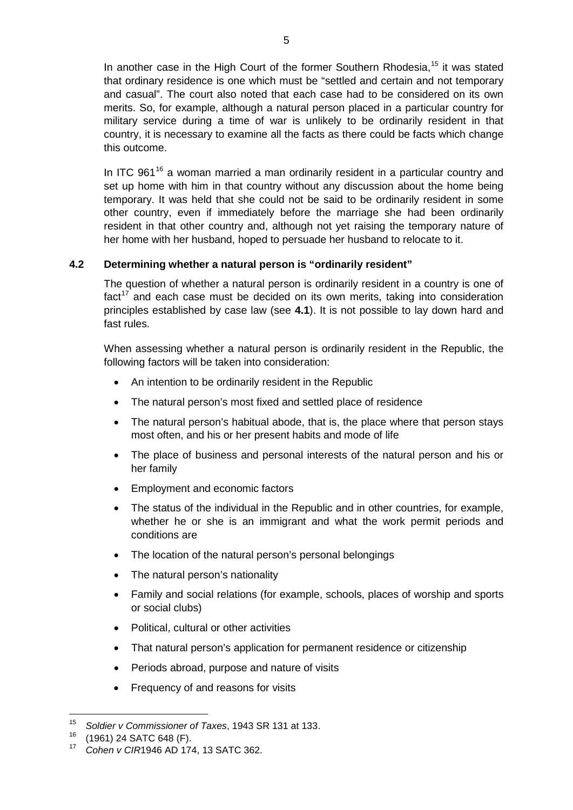In another case in the High Court of the former Southern Rhodesia,<sup>[15](#page-4-0)</sup> it was stated that ordinary residence is one which must be "settled and certain and not temporary and casual". The court also noted that each case had to be considered on its own merits. So, for example, although a natural person placed in a particular country for military service during a time of war is unlikely to be ordinarily resident in that country, it is necessary to examine all the facts as there could be facts which change this outcome.

In ITC 961 $16$  a woman married a man ordinarily resident in a particular country and set up home with him in that country without any discussion about the home being temporary. It was held that she could not be said to be ordinarily resident in some other country, even if immediately before the marriage she had been ordinarily resident in that other country and, although not yet raising the temporary nature of her home with her husband, hoped to persuade her husband to relocate to it.

# **4.2 Determining whether a natural person is "ordinarily resident"**

The question of whether a natural person is ordinarily resident in a country is one of  $fact<sup>17</sup>$  $fact<sup>17</sup>$  $fact<sup>17</sup>$  and each case must be decided on its own merits, taking into consideration principles established by case law (see **[4.1](#page-1-0)**). It is not possible to lay down hard and fast rules.

When assessing whether a natural person is ordinarily resident in the Republic, the following factors will be taken into consideration:

- An intention to be ordinarily resident in the Republic
- The natural person's most fixed and settled place of residence
- The natural person's habitual abode, that is, the place where that person stays most often, and his or her present habits and mode of life
- The place of business and personal interests of the natural person and his or her family
- Employment and economic factors
- The status of the individual in the Republic and in other countries, for example, whether he or she is an immigrant and what the work permit periods and conditions are
- The location of the natural person's personal belongings
- The natural person's nationality
- Family and social relations (for example, schools, places of worship and sports or social clubs)
- Political, cultural or other activities
- That natural person's application for permanent residence or citizenship
- Periods abroad, purpose and nature of visits
- Frequency of and reasons for visits

<span id="page-4-0"></span> <sup>15</sup> *Soldier v Commissioner of Taxes*, 1943 SR 131 at 133.

<span id="page-4-2"></span><span id="page-4-1"></span> $^{16}$  (1961) 24 SATC 648 (F).

<sup>17</sup> *Cohen v CIR*1946 AD 174, 13 SATC 362.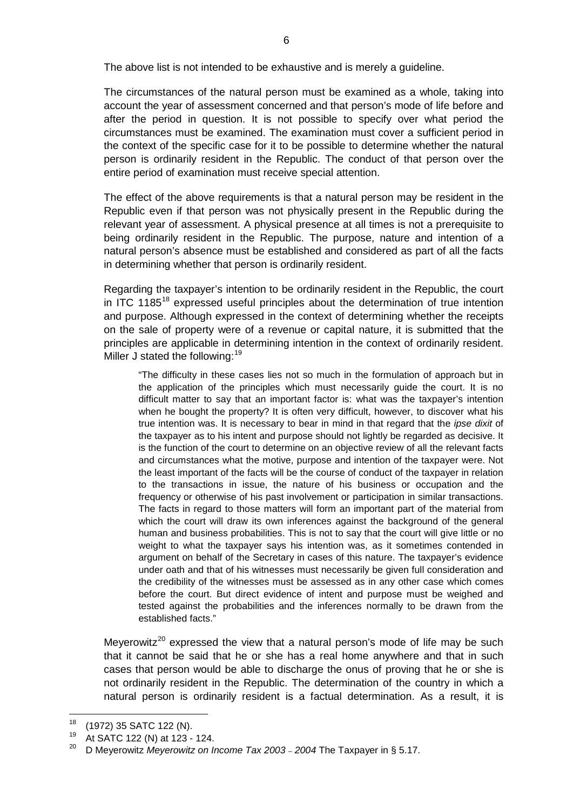The above list is not intended to be exhaustive and is merely a guideline.

The circumstances of the natural person must be examined as a whole, taking into account the year of assessment concerned and that person's mode of life before and after the period in question. It is not possible to specify over what period the circumstances must be examined. The examination must cover a sufficient period in the context of the specific case for it to be possible to determine whether the natural person is ordinarily resident in the Republic. The conduct of that person over the entire period of examination must receive special attention.

The effect of the above requirements is that a natural person may be resident in the Republic even if that person was not physically present in the Republic during the relevant year of assessment. A physical presence at all times is not a prerequisite to being ordinarily resident in the Republic. The purpose, nature and intention of a natural person's absence must be established and considered as part of all the facts in determining whether that person is ordinarily resident.

Regarding the taxpayer's intention to be ordinarily resident in the Republic, the court in ITC 1[18](#page-5-0)5<sup>18</sup> expressed useful principles about the determination of true intention and purpose. Although expressed in the context of determining whether the receipts on the sale of property were of a revenue or capital nature, it is submitted that the principles are applicable in determining intention in the context of ordinarily resident. Miller J stated the following:<sup>[19](#page-5-1)</sup>

"The difficulty in these cases lies not so much in the formulation of approach but in the application of the principles which must necessarily guide the court. It is no difficult matter to say that an important factor is: what was the taxpayer's intention when he bought the property? It is often very difficult, however, to discover what his true intention was. It is necessary to bear in mind in that regard that the *ipse dixit* of the taxpayer as to his intent and purpose should not lightly be regarded as decisive. It is the function of the court to determine on an objective review of all the relevant facts and circumstances what the motive, purpose and intention of the taxpayer were. Not the least important of the facts will be the course of conduct of the taxpayer in relation to the transactions in issue, the nature of his business or occupation and the frequency or otherwise of his past involvement or participation in similar transactions. The facts in regard to those matters will form an important part of the material from which the court will draw its own inferences against the background of the general human and business probabilities. This is not to say that the court will give little or no weight to what the taxpayer says his intention was, as it sometimes contended in argument on behalf of the Secretary in cases of this nature. The taxpayer's evidence under oath and that of his witnesses must necessarily be given full consideration and the credibility of the witnesses must be assessed as in any other case which comes before the court. But direct evidence of intent and purpose must be weighed and tested against the probabilities and the inferences normally to be drawn from the established facts."

Meverowitz<sup>[20](#page-5-2)</sup> expressed the view that a natural person's mode of life may be such that it cannot be said that he or she has a real home anywhere and that in such cases that person would be able to discharge the onus of proving that he or she is not ordinarily resident in the Republic. The determination of the country in which a natural person is ordinarily resident is a factual determination. As a result, it is

<span id="page-5-0"></span> $^{18}$  (1972) 35 SATC 122 (N).

<span id="page-5-2"></span><span id="page-5-1"></span><sup>&</sup>lt;sup>19</sup> At SATC 122 (N) at 123 - 124.

<sup>20</sup> D Meyerowitz *Meyerowitz on Income Tax 2003* – *2004* The Taxpayer in § 5.17.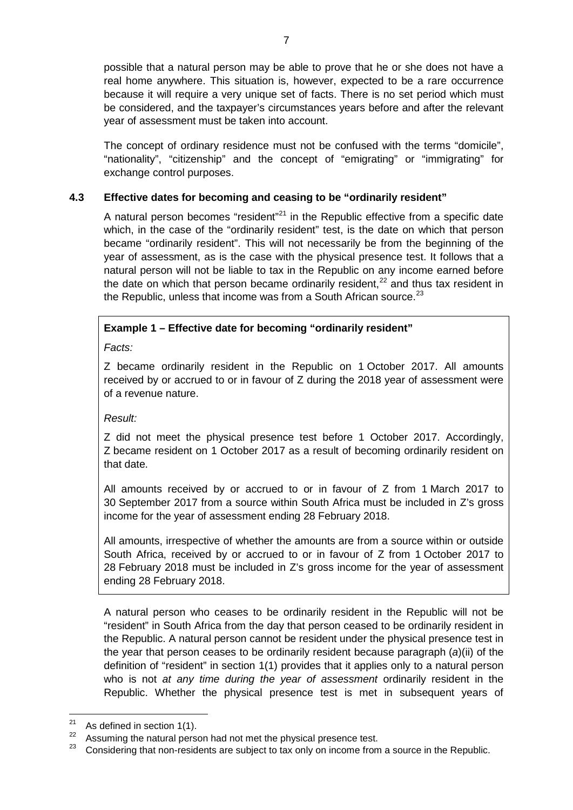possible that a natural person may be able to prove that he or she does not have a real home anywhere. This situation is, however, expected to be a rare occurrence because it will require a very unique set of facts. There is no set period which must be considered, and the taxpayer's circumstances years before and after the relevant year of assessment must be taken into account.

The concept of ordinary residence must not be confused with the terms "domicile", "nationality", "citizenship" and the concept of "emigrating" or "immigrating" for exchange control purposes.

# **4.3 Effective dates for becoming and ceasing to be "ordinarily resident"**

A natural person becomes "resident"<sup>[21](#page-6-0)</sup> in the Republic effective from a specific date which, in the case of the "ordinarily resident" test, is the date on which that person became "ordinarily resident". This will not necessarily be from the beginning of the year of assessment, as is the case with the physical presence test. It follows that a natural person will not be liable to tax in the Republic on any income earned before the date on which that person became ordinarily resident,  $22$  and thus tax resident in the Republic, unless that income was from a South African source.<sup>[23](#page-6-2)</sup>

# **Example 1 – Effective date for becoming "ordinarily resident"**

*Facts:*

Z became ordinarily resident in the Republic on 1 October 2017. All amounts received by or accrued to or in favour of Z during the 2018 year of assessment were of a revenue nature.

### *Result:*

Z did not meet the physical presence test before 1 October 2017. Accordingly, Z became resident on 1 October 2017 as a result of becoming ordinarily resident on that date.

All amounts received by or accrued to or in favour of Z from 1 March 2017 to 30 September 2017 from a source within South Africa must be included in Z's gross income for the year of assessment ending 28 February 2018.

All amounts, irrespective of whether the amounts are from a source within or outside South Africa, received by or accrued to or in favour of Z from 1 October 2017 to 28 February 2018 must be included in Z's gross income for the year of assessment ending 28 February 2018.

A natural person who ceases to be ordinarily resident in the Republic will not be "resident" in South Africa from the day that person ceased to be ordinarily resident in the Republic. A natural person cannot be resident under the physical presence test in the year that person ceases to be ordinarily resident because paragraph (*a*)(ii) of the definition of "resident" in section 1(1) provides that it applies only to a natural person who is not *at any time during the year of assessment* ordinarily resident in the Republic. Whether the physical presence test is met in subsequent years of

<sup>&</sup>lt;sup>21</sup> As defined in section  $1(1)$ .

<span id="page-6-2"></span><span id="page-6-1"></span><span id="page-6-0"></span><sup>&</sup>lt;sup>22</sup> Assuming the natural person had not met the physical presence test.<br><sup>23</sup> Considering that non-residents are subject to toy only an income from

<sup>23</sup> Considering that non-residents are subject to tax only on income from a source in the Republic.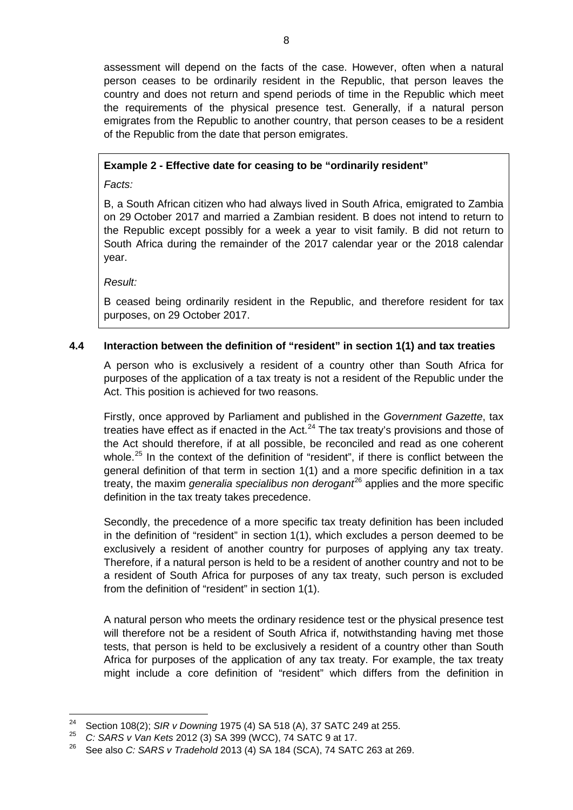assessment will depend on the facts of the case. However, often when a natural person ceases to be ordinarily resident in the Republic, that person leaves the country and does not return and spend periods of time in the Republic which meet the requirements of the physical presence test. Generally, if a natural person emigrates from the Republic to another country, that person ceases to be a resident of the Republic from the date that person emigrates.

# **Example 2 - Effective date for ceasing to be "ordinarily resident"**

*Facts:*

B, a South African citizen who had always lived in South Africa, emigrated to Zambia on 29 October 2017 and married a Zambian resident. B does not intend to return to the Republic except possibly for a week a year to visit family. B did not return to South Africa during the remainder of the 2017 calendar year or the 2018 calendar year.

*Result:*

B ceased being ordinarily resident in the Republic, and therefore resident for tax purposes, on 29 October 2017.

# **4.4 Interaction between the definition of "resident" in section 1(1) and tax treaties**

A person who is exclusively a resident of a country other than South Africa for purposes of the application of a tax treaty is not a resident of the Republic under the Act. This position is achieved for two reasons.

Firstly, once approved by Parliament and published in the *Government Gazette*, tax treaties have effect as if enacted in the Act. $^{24}$  $^{24}$  $^{24}$  The tax treaty's provisions and those of the Act should therefore, if at all possible, be reconciled and read as one coherent whole.<sup>[25](#page-7-1)</sup> In the context of the definition of "resident", if there is conflict between the general definition of that term in section 1(1) and a more specific definition in a tax treaty, the maxim *generalia specialibus non derogant*<sup>[26](#page-7-2)</sup> applies and the more specific definition in the tax treaty takes precedence.

Secondly, the precedence of a more specific tax treaty definition has been included in the definition of "resident" in section 1(1), which excludes a person deemed to be exclusively a resident of another country for purposes of applying any tax treaty. Therefore, if a natural person is held to be a resident of another country and not to be a resident of South Africa for purposes of any tax treaty, such person is excluded from the definition of "resident" in section 1(1).

A natural person who meets the ordinary residence test or the physical presence test will therefore not be a resident of South Africa if, notwithstanding having met those tests, that person is held to be exclusively a resident of a country other than South Africa for purposes of the application of any tax treaty. For example, the tax treaty might include a core definition of "resident" which differs from the definition in

<span id="page-7-0"></span><sup>&</sup>lt;sup>24</sup> Section 108(2); *SIR v Downing* 1975 (4) SA 518 (A), 37 SATC 249 at 255.<br><sup>25</sup> C: SARR UNGR Keta 2012 (2) SA 200 (MCC), 74 SATC 9 at 17

<span id="page-7-2"></span><span id="page-7-1"></span><sup>25</sup> *C: SARS v Van Kets* 2012 (3) SA 399 (WCC), 74 SATC 9 at 17.

<sup>26</sup> See also *C: SARS v Tradehold* 2013 (4) SA 184 (SCA), 74 SATC 263 at 269.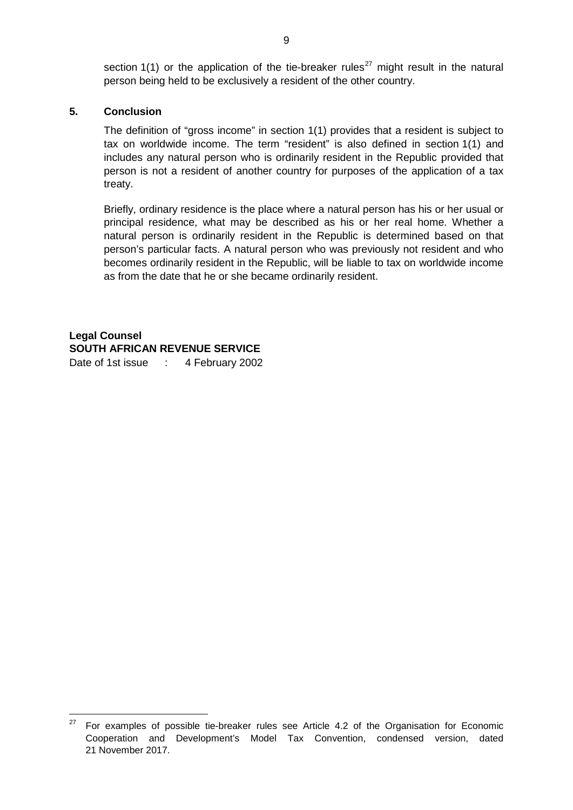section 1(1) or the application of the tie-breaker rules<sup>[27](#page-8-0)</sup> might result in the natural person being held to be exclusively a resident of the other country.

### **5. Conclusion**

The definition of "gross income" in section 1(1) provides that a resident is subject to tax on worldwide income. The term "resident" is also defined in section 1(1) and includes any natural person who is ordinarily resident in the Republic provided that person is not a resident of another country for purposes of the application of a tax treaty.

Briefly, ordinary residence is the place where a natural person has his or her usual or principal residence, what may be described as his or her real home. Whether a natural person is ordinarily resident in the Republic is determined based on that person's particular facts. A natural person who was previously not resident and who becomes ordinarily resident in the Republic, will be liable to tax on worldwide income as from the date that he or she became ordinarily resident.

**Legal Counsel SOUTH AFRICAN REVENUE SERVICE** Date of 1st issue : 4 February 2002

<span id="page-8-0"></span> $27$  For examples of possible tie-breaker rules see Article 4.2 of the Organisation for Economic Cooperation and Development's Model Tax Convention, condensed version, dated 21 November 2017.